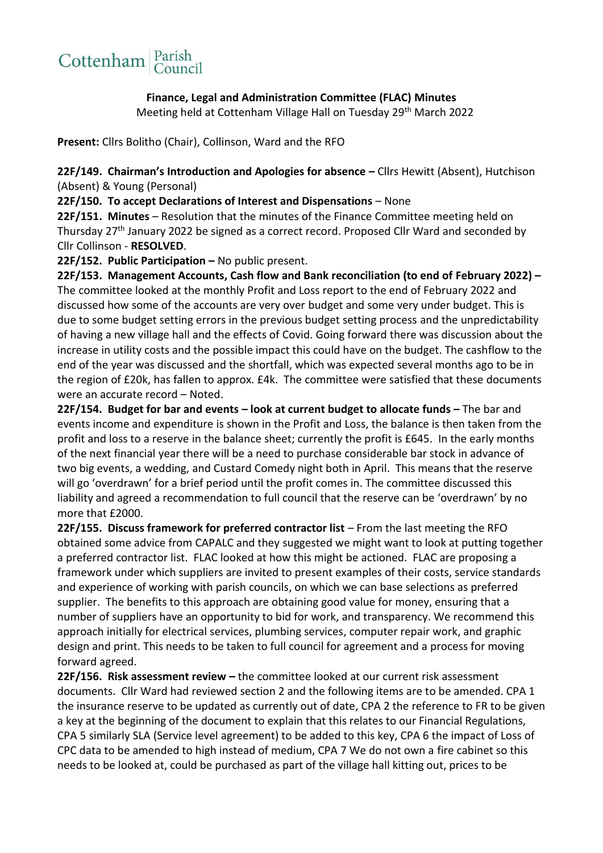

**Finance, Legal and Administration Committee (FLAC) Minutes** Meeting held at Cottenham Village Hall on Tuesday 29<sup>th</sup> March 2022

**Present:** Cllrs Bolitho (Chair), Collinson, Ward and the RFO

**22F/149. Chairman's Introduction and Apologies for absence –** Cllrs Hewitt (Absent), Hutchison (Absent) & Young (Personal)

**22F/150. To accept Declarations of Interest and Dispensations** – None

**22F/151. Minutes** – Resolution that the minutes of the Finance Committee meeting held on Thursday 27<sup>th</sup> January 2022 be signed as a correct record. Proposed Cllr Ward and seconded by Cllr Collinson - **RESOLVED**.

**22F/152. Public Participation –** No public present.

**22F/153. Management Accounts, Cash flow and Bank reconciliation (to end of February 2022) –** The committee looked at the monthly Profit and Loss report to the end of February 2022 and discussed how some of the accounts are very over budget and some very under budget. This is due to some budget setting errors in the previous budget setting process and the unpredictability of having a new village hall and the effects of Covid. Going forward there was discussion about the increase in utility costs and the possible impact this could have on the budget. The cashflow to the end of the year was discussed and the shortfall, which was expected several months ago to be in the region of £20k, has fallen to approx. £4k. The committee were satisfied that these documents were an accurate record – Noted.

**22F/154. Budget for bar and events – look at current budget to allocate funds –** The bar and events income and expenditure is shown in the Profit and Loss, the balance is then taken from the profit and loss to a reserve in the balance sheet; currently the profit is £645. In the early months of the next financial year there will be a need to purchase considerable bar stock in advance of two big events, a wedding, and Custard Comedy night both in April. This means that the reserve will go 'overdrawn' for a brief period until the profit comes in. The committee discussed this liability and agreed a recommendation to full council that the reserve can be 'overdrawn' by no more that £2000.

**22F/155. Discuss framework for preferred contractor list** – From the last meeting the RFO obtained some advice from CAPALC and they suggested we might want to look at putting together a preferred contractor list. FLAC looked at how this might be actioned. FLAC are proposing a framework under which suppliers are invited to present examples of their costs, service standards and experience of working with parish councils, on which we can base selections as preferred supplier. The benefits to this approach are obtaining good value for money, ensuring that a number of suppliers have an opportunity to bid for work, and transparency. We recommend this approach initially for electrical services, plumbing services, computer repair work, and graphic design and print. This needs to be taken to full council for agreement and a process for moving forward agreed.

**22F/156. Risk assessment review –** the committee looked at our current risk assessment documents. Cllr Ward had reviewed section 2 and the following items are to be amended. CPA 1 the insurance reserve to be updated as currently out of date, CPA 2 the reference to FR to be given a key at the beginning of the document to explain that this relates to our Financial Regulations, CPA 5 similarly SLA (Service level agreement) to be added to this key, CPA 6 the impact of Loss of CPC data to be amended to high instead of medium, CPA 7 We do not own a fire cabinet so this needs to be looked at, could be purchased as part of the village hall kitting out, prices to be